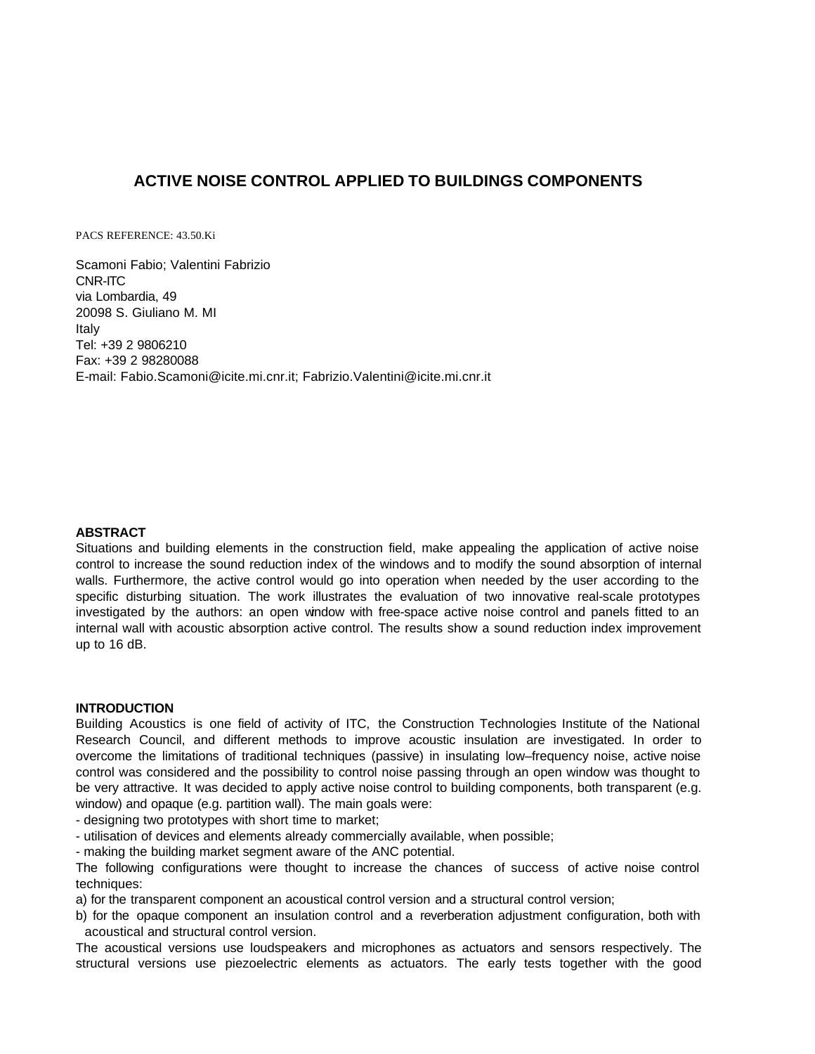# **ACTIVE NOISE CONTROL APPLIED TO BUILDINGS COMPONENTS**

PACS REFERENCE: 43.50.Ki

Scamoni Fabio; Valentini Fabrizio CNR-ITC via Lombardia, 49 20098 S. Giuliano M. MI Italy Tel: +39 2 9806210 Fax: +39 2 98280088 E-mail: Fabio.Scamoni@icite.mi.cnr.it; Fabrizio.Valentini@icite.mi.cnr.it

# **ABSTRACT**

Situations and building elements in the construction field, make appealing the application of active noise control to increase the sound reduction index of the windows and to modify the sound absorption of internal walls. Furthermore, the active control would go into operation when needed by the user according to the specific disturbing situation. The work illustrates the evaluation of two innovative real-scale prototypes investigated by the authors: an open window with free-space active noise control and panels fitted to an internal wall with acoustic absorption active control. The results show a sound reduction index improvement up to 16 dB.

### **INTRODUCTION**

Building Acoustics is one field of activity of ITC, the Construction Technologies Institute of the National Research Council, and different methods to improve acoustic insulation are investigated. In order to overcome the limitations of traditional techniques (passive) in insulating low–frequency noise, active noise control was considered and the possibility to control noise passing through an open window was thought to be very attractive. It was decided to apply active noise control to building components, both transparent (e.g. window) and opaque (e.g. partition wall). The main goals were:

- designing two prototypes with short time to market;

- utilisation of devices and elements already commercially available, when possible;

- making the building market segment aware of the ANC potential.

The following configurations were thought to increase the chances of success of active noise control techniques:

a) for the transparent component an acoustical control version and a structural control version;

b) for the opaque component an insulation control and a reverberation adjustment configuration, both with acoustical and structural control version.

The acoustical versions use loudspeakers and microphones as actuators and sensors respectively. The structural versions use piezoelectric elements as actuators. The early tests together with the good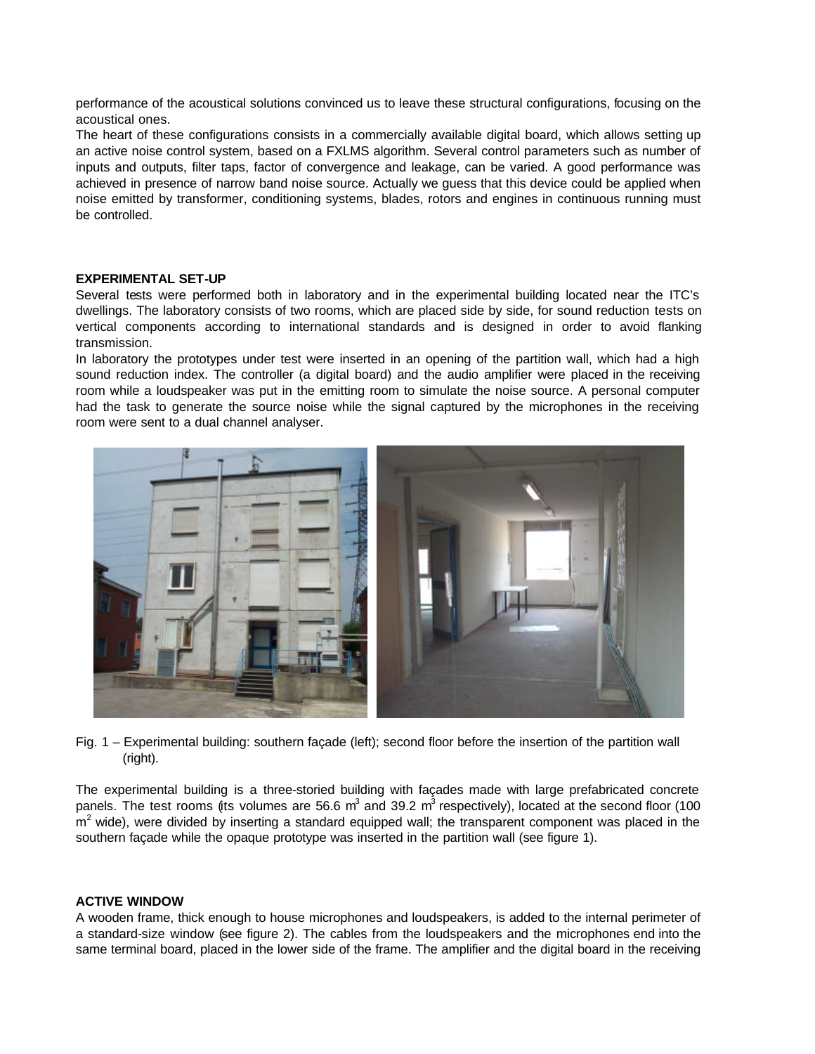performance of the acoustical solutions convinced us to leave these structural configurations, focusing on the acoustical ones.

The heart of these configurations consists in a commercially available digital board, which allows setting up an active noise control system, based on a FXLMS algorithm. Several control parameters such as number of inputs and outputs, filter taps, factor of convergence and leakage, can be varied. A good performance was achieved in presence of narrow band noise source. Actually we guess that this device could be applied when noise emitted by transformer, conditioning systems, blades, rotors and engines in continuous running must be controlled.

# **EXPERIMENTAL SET-UP**

Several tests were performed both in laboratory and in the experimental building located near the ITC's dwellings. The laboratory consists of two rooms, which are placed side by side, for sound reduction tests on vertical components according to international standards and is designed in order to avoid flanking transmission.

In laboratory the prototypes under test were inserted in an opening of the partition wall, which had a high sound reduction index. The controller (a digital board) and the audio amplifier were placed in the receiving room while a loudspeaker was put in the emitting room to simulate the noise source. A personal computer had the task to generate the source noise while the signal captured by the microphones in the receiving room were sent to a dual channel analyser.



Fig. 1 – Experimental building: southern façade (left); second floor before the insertion of the partition wall (right).

The experimental building is a three-storied building with façades made with large prefabricated concrete panels. The test rooms (its volumes are 56.6 m<sup>3</sup> and 39.2 m<sup>3</sup> respectively), located at the second floor (100  $m<sup>2</sup>$  wide), were divided by inserting a standard equipped wall; the transparent component was placed in the southern façade while the opaque prototype was inserted in the partition wall (see figure 1).

# **ACTIVE WINDOW**

A wooden frame, thick enough to house microphones and loudspeakers, is added to the internal perimeter of a standard-size window (see figure 2). The cables from the loudspeakers and the microphones end into the same terminal board, placed in the lower side of the frame. The amplifier and the digital board in the receiving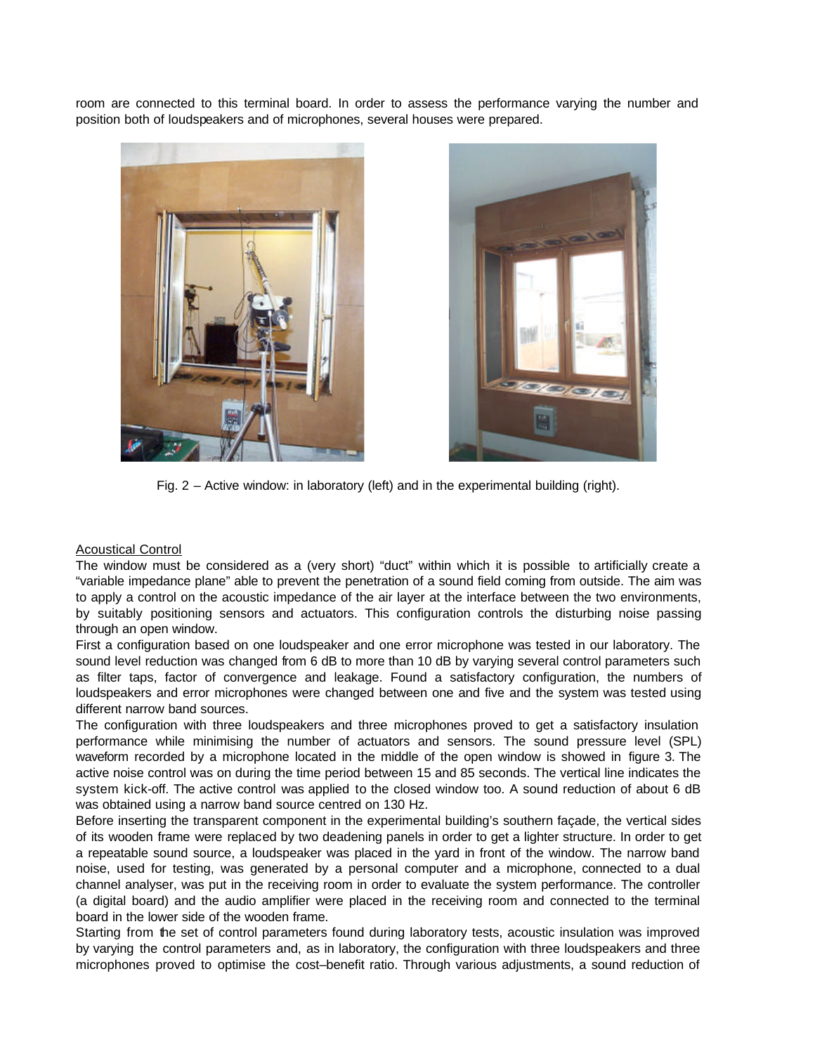room are connected to this terminal board. In order to assess the performance varying the number and position both of loudspeakers and of microphones, several houses were prepared.





Fig. 2 – Active window: in laboratory (left) and in the experimental building (right).

# **Acoustical Control**

The window must be considered as a (very short) "duct" within which it is possible to artificially create a "variable impedance plane" able to prevent the penetration of a sound field coming from outside. The aim was to apply a control on the acoustic impedance of the air layer at the interface between the two environments, by suitably positioning sensors and actuators. This configuration controls the disturbing noise passing through an open window.

First a configuration based on one loudspeaker and one error microphone was tested in our laboratory. The sound level reduction was changed from 6 dB to more than 10 dB by varying several control parameters such as filter taps, factor of convergence and leakage. Found a satisfactory configuration, the numbers of loudspeakers and error microphones were changed between one and five and the system was tested using different narrow band sources.

The configuration with three loudspeakers and three microphones proved to get a satisfactory insulation performance while minimising the number of actuators and sensors. The sound pressure level (SPL) waveform recorded by a microphone located in the middle of the open window is showed in figure 3. The active noise control was on during the time period between 15 and 85 seconds. The vertical line indicates the system kick-off. The active control was applied to the closed window too. A sound reduction of about 6 dB was obtained using a narrow band source centred on 130 Hz.

Before inserting the transparent component in the experimental building's southern façade, the vertical sides of its wooden frame were replaced by two deadening panels in order to get a lighter structure. In order to get a repeatable sound source, a loudspeaker was placed in the yard in front of the window. The narrow band noise, used for testing, was generated by a personal computer and a microphone, connected to a dual channel analyser, was put in the receiving room in order to evaluate the system performance. The controller (a digital board) and the audio amplifier were placed in the receiving room and connected to the terminal board in the lower side of the wooden frame.

Starting from the set of control parameters found during laboratory tests, acoustic insulation was improved by varying the control parameters and, as in laboratory, the configuration with three loudspeakers and three microphones proved to optimise the cost–benefit ratio. Through various adjustments, a sound reduction of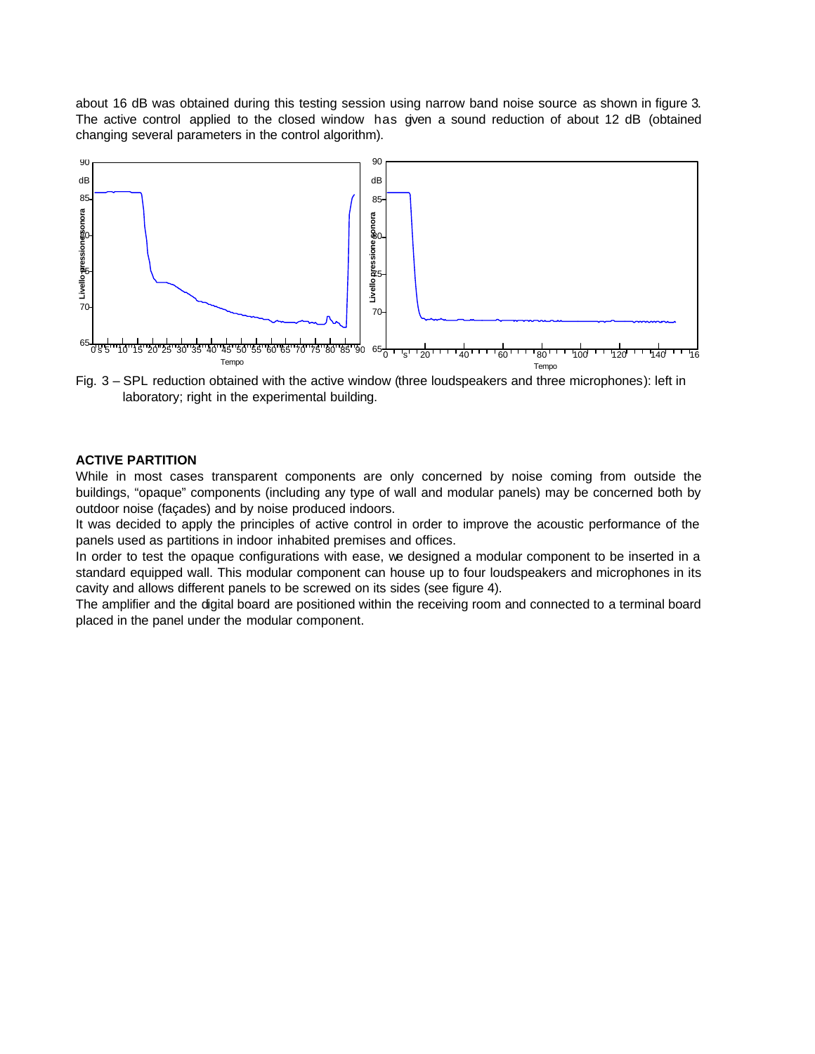about 16 dB was obtained during this testing session using narrow band noise source as shown in figure 3. The active control applied to the closed window has given a sound reduction of about 12 dB (obtained changing several parameters in the control algorithm).



Fig. 3 – SPL reduction obtained with the active window (three loudspeakers and three microphones): left in laboratory; right in the experimental building.

# **ACTIVE PARTITION**

While in most cases transparent components are only concerned by noise coming from outside the buildings, "opaque" components (including any type of wall and modular panels) may be concerned both by outdoor noise (façades) and by noise produced indoors.

It was decided to apply the principles of active control in order to improve the acoustic performance of the panels used as partitions in indoor inhabited premises and offices.

In order to test the opaque configurations with ease, we designed a modular component to be inserted in a standard equipped wall. This modular component can house up to four loudspeakers and microphones in its cavity and allows different panels to be screwed on its sides (see figure 4).

The amplifier and the digital board are positioned within the receiving room and connected to a terminal board placed in the panel under the modular component.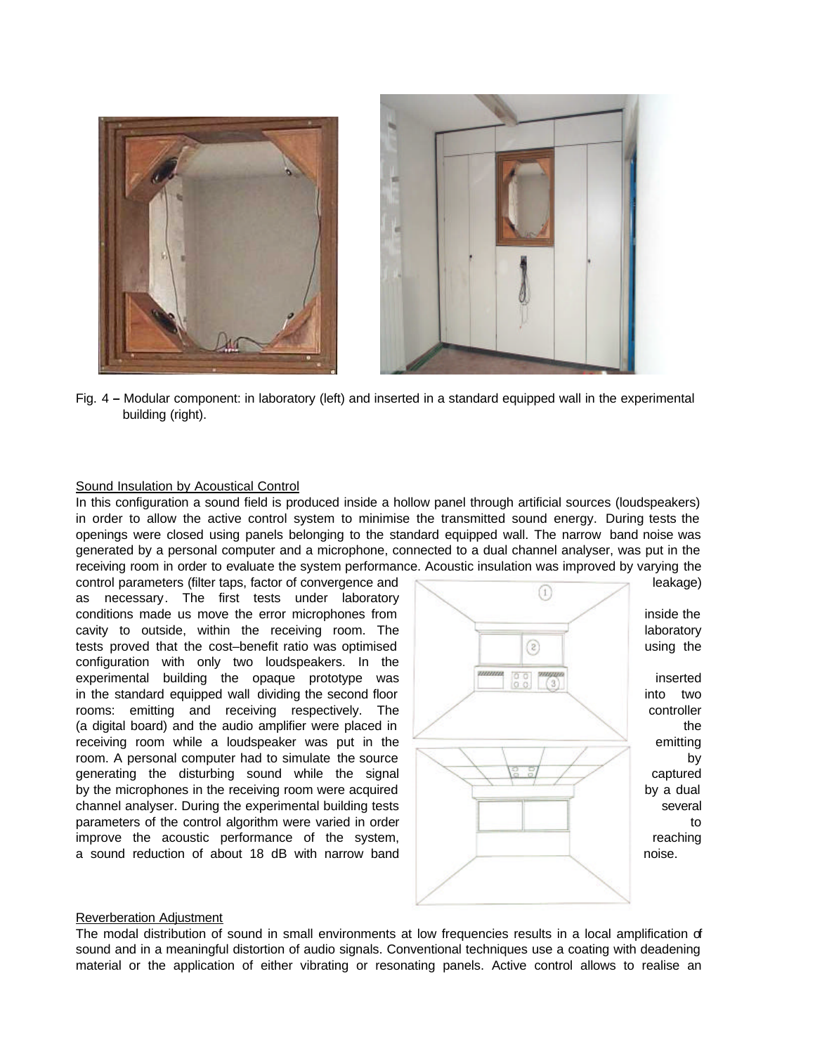

Fig. 4 *–* Modular component: in laboratory (left) and inserted in a standard equipped wall in the experimental building (right).

#### Sound Insulation by Acoustical Control

In this configuration a sound field is produced inside a hollow panel through artificial sources (loudspeakers) in order to allow the active control system to minimise the transmitted sound energy. During tests the openings were closed using panels belonging to the standard equipped wall. The narrow band noise was generated by a personal computer and a microphone, connected to a dual channel analyser, was put in the receiving room in order to evaluate the system performance. Acoustic insulation was improved by varying the

control parameters (filter taps, factor of convergence and <br>as pecessary. The first tests under laboratory (1) (1) leakage) as necessary. The first tests under laboratory conditions made us move the error microphones from inside the inside the inside the inside the inside the inside the inside the inside the inside the inside the inside the inside the inside the inside the inside the inside cavity to outside, within the receiving room. The laboratory laboratory tests proved that the cost–benefit ratio was optimised and the state of the using the using the configuration with only two loudspeakers. In the experimental building the opaque prototype was inserted in the standard equipped wall dividing the second floor into two into two rooms: emitting and receiving respectively. The controller controller (a digital board) and the audio amplifier were placed in the the state of the state of the state of the state of the state of the state of the state of the state of the state of the state of the state of the state of the s receiving room while a loudspeaker was put in the  $\overline{\phantom{a}}$  emitting room. A personal computer had to simulate the source  $\Box$ generating the disturbing sound while the signal captured captured by the microphones in the receiving room were acquired by a dual channel analyser. During the experimental building tests several several parameters of the control algorithm were varied in order the state of the state of to improve the acoustic performance of the system, **reaching** reaching a sound reduction of about 18 dB with narrow band noise.



#### Reverberation Adjustment

The modal distribution of sound in small environments at low frequencies results in a local amplification of sound and in a meaningful distortion of audio signals. Conventional techniques use a coating with deadening material or the application of either vibrating or resonating panels. Active control allows to realise an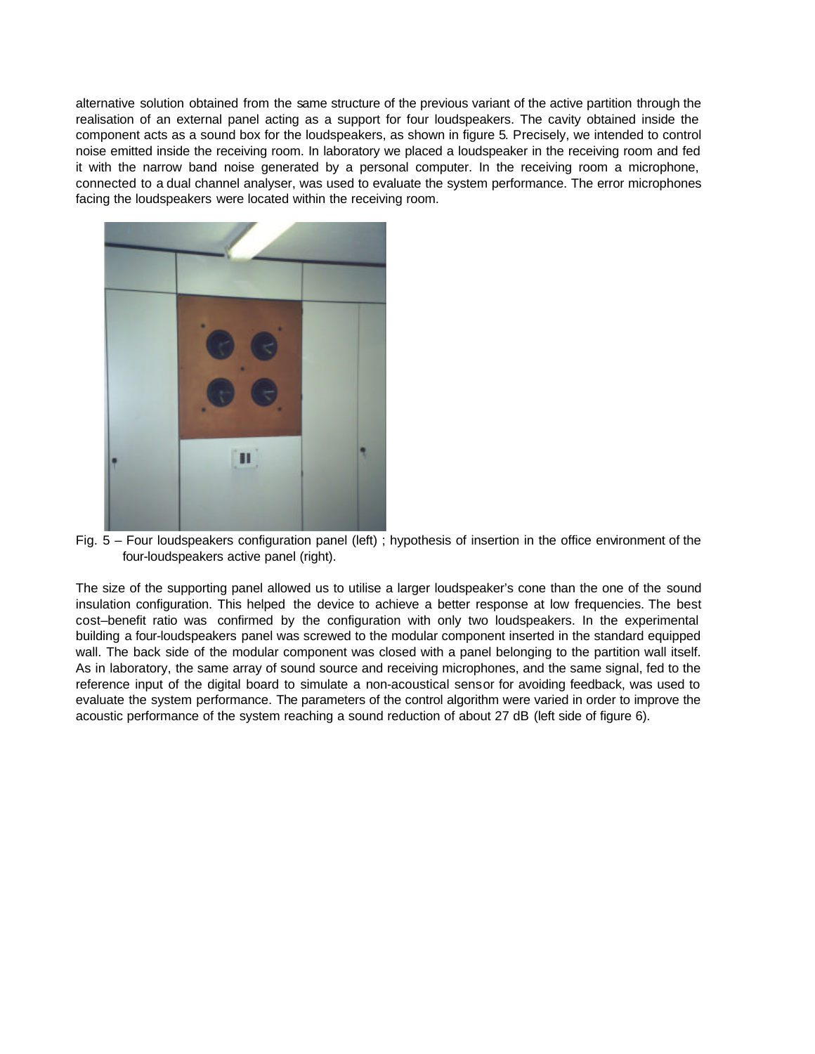alternative solution obtained from the same structure of the previous variant of the active partition through the realisation of an external panel acting as a support for four loudspeakers. The cavity obtained inside the component acts as a sound box for the loudspeakers, as shown in figure 5. Precisely, we intended to control noise emitted inside the receiving room. In laboratory we placed a loudspeaker in the receiving room and fed it with the narrow band noise generated by a personal computer. In the receiving room a microphone, connected to a dual channel analyser, was used to evaluate the system performance. The error microphones facing the loudspeakers were located within the receiving room.



Fig. 5 – Four loudspeakers configuration panel (left) ; hypothesis of insertion in the office environment of the four-loudspeakers active panel (right).

The size of the supporting panel allowed us to utilise a larger loudspeaker's cone than the one of the sound insulation configuration. This helped the device to achieve a better response at low frequencies. The best cost–benefit ratio was confirmed by the configuration with only two loudspeakers. In the experimental building a four-loudspeakers panel was screwed to the modular component inserted in the standard equipped wall. The back side of the modular component was closed with a panel belonging to the partition wall itself. As in laboratory, the same array of sound source and receiving microphones, and the same signal, fed to the reference input of the digital board to simulate a non-acoustical sensor for avoiding feedback, was used to evaluate the system performance. The parameters of the control algorithm were varied in order to improve the acoustic performance of the system reaching a sound reduction of about 27 dB (left side of figure 6).